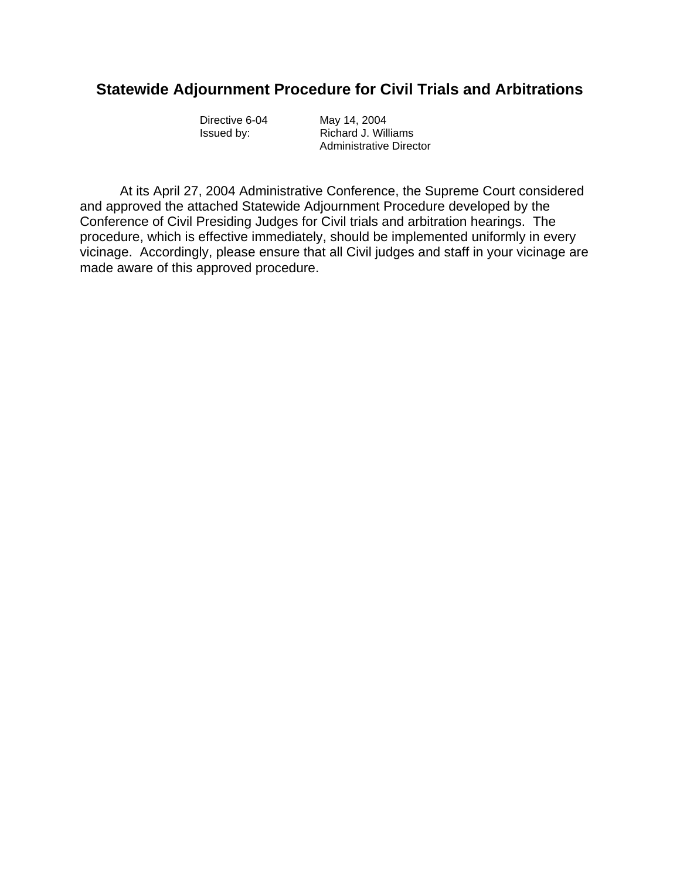## **Statewide Adjournment Procedure for Civil Trials and Arbitrations**

 Directive 6-04 May 14, 2004 Issued by: Richard J. Williams Administrative Director

 At its April 27, 2004 Administrative Conference, the Supreme Court considered and approved the attached Statewide Adjournment Procedure developed by the Conference of Civil Presiding Judges for Civil trials and arbitration hearings. The procedure, which is effective immediately, should be implemented uniformly in every vicinage. Accordingly, please ensure that all Civil judges and staff in your vicinage are made aware of this approved procedure.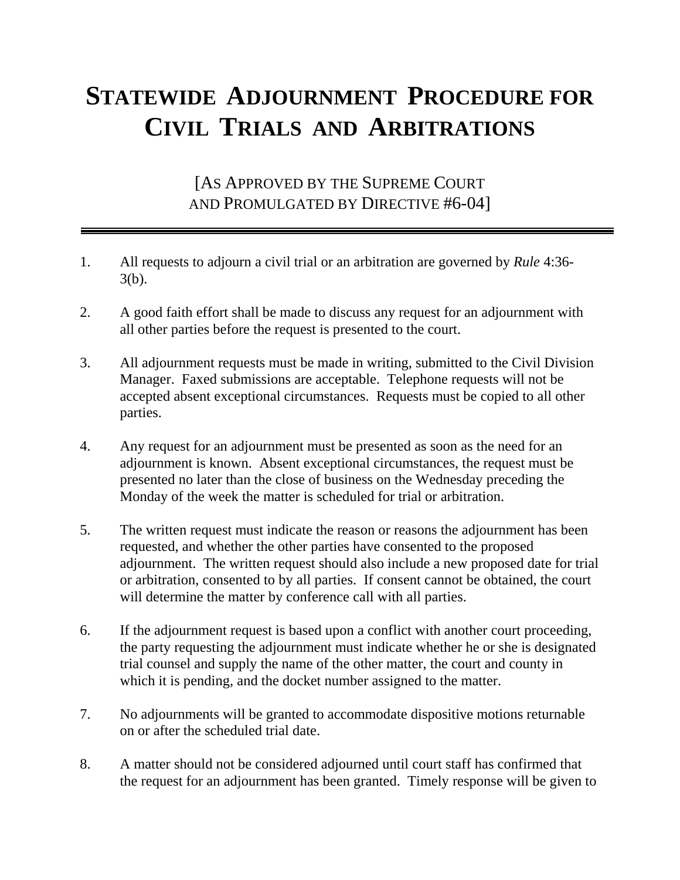## **STATEWIDE ADJOURNMENT PROCEDURE FOR CIVIL TRIALS AND ARBITRATIONS**

[AS APPROVED BY THE SUPREME COURT AND PROMULGATED BY DIRECTIVE #6-04]

- 1. All requests to adjourn a civil trial or an arbitration are governed by *Rule* 4:36- 3(b).
- 2. A good faith effort shall be made to discuss any request for an adjournment with all other parties before the request is presented to the court.
- 3. All adjournment requests must be made in writing, submitted to the Civil Division Manager. Faxed submissions are acceptable. Telephone requests will not be accepted absent exceptional circumstances. Requests must be copied to all other parties.
- 4. Any request for an adjournment must be presented as soon as the need for an adjournment is known. Absent exceptional circumstances, the request must be presented no later than the close of business on the Wednesday preceding the Monday of the week the matter is scheduled for trial or arbitration.
- 5. The written request must indicate the reason or reasons the adjournment has been requested, and whether the other parties have consented to the proposed adjournment. The written request should also include a new proposed date for trial or arbitration, consented to by all parties. If consent cannot be obtained, the court will determine the matter by conference call with all parties.
- 6. If the adjournment request is based upon a conflict with another court proceeding, the party requesting the adjournment must indicate whether he or she is designated trial counsel and supply the name of the other matter, the court and county in which it is pending, and the docket number assigned to the matter.
- 7. No adjournments will be granted to accommodate dispositive motions returnable on or after the scheduled trial date.
- 8. A matter should not be considered adjourned until court staff has confirmed that the request for an adjournment has been granted. Timely response will be given to